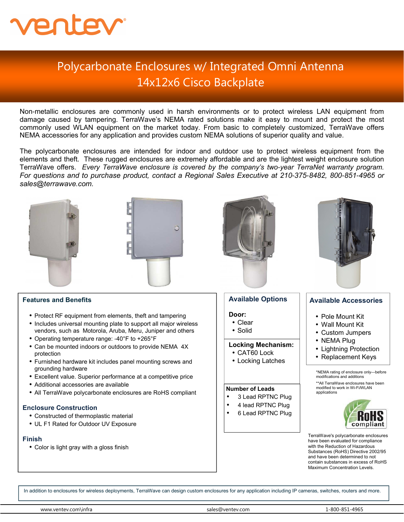

## Polycarbonate Enclosures w/ Integrated Omni Antenna 14x12x6 Cisco Backplate

Non-metallic enclosures are commonly used in harsh environments or to protect wireless LAN equipment from damage caused by tampering. TerraWave's NEMA rated solutions make it easy to mount and protect the most commonly used WLAN equipment on the market today. From basic to completely customized, TerraWave offers NEMA accessories for any application and provides custom NEMA solutions of superior quality and value.

The polycarbonate enclosures are intended for indoor and outdoor use to protect wireless equipment from the elements and theft. These rugged enclosures are extremely affordable and are the lightest weight enclosure solution TerraWave offers. *Every TerraWave enclosure is covered by the company's two*-*year TerraNet warranty program. For questions and to purchase product, contact a Regional Sales Executive at 210*-*375*-*8482, 800*-*851*-*4965 or sales@terrawave.com.* 



• UL F1 Rated for Outdoor UV Exposure

## **Finish**

• Color is light gray with a gloss finish

www.ventev.com\infra sales@ventev.com 1-800-851-4965

6 Lead RPTNC Plug



TerraWave's polycarbonate enclosures have been evaluated for compliance with the Reduction of Hazardous Substances (RoHS) Directive 2002/95 and have been determined to not contain substances in excess of RoHS Maximum Concentration Levels.

In addition to enclosures for wireless deployments, TerraWave can design custom enclosures for any application including IP cameras, switches, routers and more.